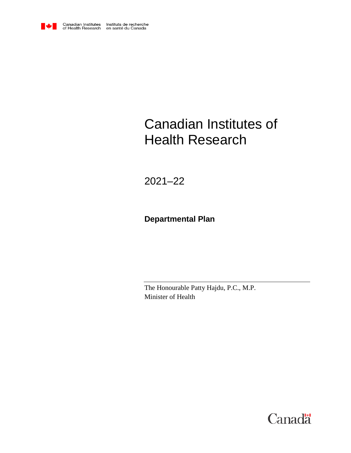

# Canadian Institutes of Health Research

2021–22

# **Departmental Plan**

The Honourable Patty Hajdu, P.C., M.P. Minister of Health

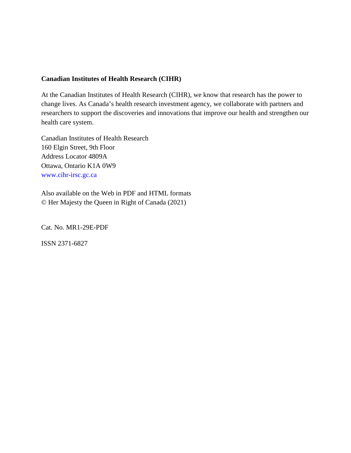#### **Canadian Institutes of Health Research (CIHR)**

At the Canadian Institutes of Health Research (CIHR), we know that research has the power to change lives. As Canada's health research investment agency, we collaborate with partners and researchers to support the discoveries and innovations that improve our health and strengthen our health care system.

Canadian Institutes of Health Research 160 Elgin Street, 9th Floor Address Locator 4809A Ottawa, Ontario K1A 0W9 [www.cihr-irsc.gc.ca](http://www.cihr-irsc.gc.ca/)

Also available on the Web in PDF and HTML formats © Her Majesty the Queen in Right of Canada (2021)

Cat. No. MR1-29E-PDF

ISSN 2371-6827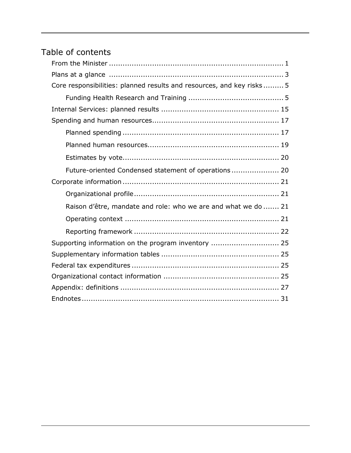# Table of contents

| Core responsibilities: planned results and resources, and key risks 5 |
|-----------------------------------------------------------------------|
|                                                                       |
|                                                                       |
|                                                                       |
|                                                                       |
|                                                                       |
|                                                                       |
| Future-oriented Condensed statement of operations 20                  |
|                                                                       |
|                                                                       |
| Raison d'être, mandate and role: who we are and what we do  21        |
|                                                                       |
|                                                                       |
| Supporting information on the program inventory  25                   |
|                                                                       |
|                                                                       |
|                                                                       |
|                                                                       |
|                                                                       |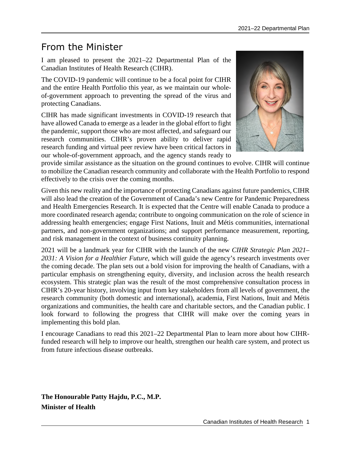# <span id="page-4-0"></span>From the Minister

I am pleased to present the 2021–22 Departmental Plan of the Canadian Institutes of Health Research (CIHR).

The COVID-19 pandemic will continue to be a focal point for CIHR and the entire Health Portfolio this year, as we maintain our wholeof-government approach to preventing the spread of the virus and protecting Canadians.

CIHR has made significant investments in COVID-19 research that have allowed Canada to emerge as a leader in the global effort to fight the pandemic, support those who are most affected, and safeguard our research communities. CIHR's proven ability to deliver rapid research funding and virtual peer review have been critical factors in our whole-of-government approach, and the agency stands ready to



provide similar assistance as the situation on the ground continues to evolve. CIHR will continue to mobilize the Canadian research community and collaborate with the Health Portfolio to respond effectively to the crisis over the coming months.

Given this new reality and the importance of protecting Canadians against future pandemics, CIHR will also lead the creation of the Government of Canada's new Centre for Pandemic Preparedness and Health Emergencies Research. It is expected that the Centre will enable Canada to produce a more coordinated research agenda; contribute to ongoing communication on the role of science in addressing health emergencies; engage First Nations, Inuit and Métis communities, international partners, and non-government organizations; and support performance measurement, reporting, and risk management in the context of business continuity planning.

2021 will be a landmark year for CIHR with the launch of the new *CIHR Strategic Plan 2021– 2031: A Vision for a Healthier Future*, which will guide the agency's research investments over the coming decade. The plan sets out a bold vision for improving the health of Canadians, with a particular emphasis on strengthening equity, diversity, and inclusion across the health research ecosystem. This strategic plan was the result of the most comprehensive consultation process in CIHR's 20-year history, involving input from key stakeholders from all levels of government, the research community (both domestic and international), academia, First Nations, Inuit and Métis organizations and communities, the health care and charitable sectors, and the Canadian public. I look forward to following the progress that CIHR will make over the coming years in implementing this bold plan.

I encourage Canadians to read this 2021–22 Departmental Plan to learn more about how CIHRfunded research will help to improve our health, strengthen our health care system, and protect us from future infectious disease outbreaks.

**The Honourable Patty Hajdu, P.C., M.P. Minister of Health**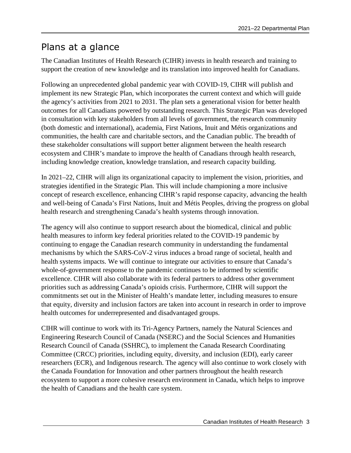# <span id="page-6-0"></span>Plans at a glance

The Canadian Institutes of Health Research (CIHR) invests in health research and training to support the creation of new knowledge and its translation into improved health for Canadians.

Following an unprecedented global pandemic year with COVID-19, CIHR will publish and implement its new Strategic Plan, which incorporates the current context and which will guide the agency's activities from 2021 to 2031. The plan sets a generational vision for better health outcomes for all Canadians powered by outstanding research. This Strategic Plan was developed in consultation with key stakeholders from all levels of government, the research community (both domestic and international), academia, First Nations, Inuit and Métis organizations and communities, the health care and charitable sectors, and the Canadian public. The breadth of these stakeholder consultations will support better alignment between the health research ecosystem and CIHR's mandate to improve the health of Canadians through health research, including knowledge creation, knowledge translation, and research capacity building.

In 2021–22, CIHR will align its organizational capacity to implement the vision, priorities, and strategies identified in the Strategic Plan. This will include championing a more inclusive concept of research excellence, enhancing CIHR's rapid response capacity, advancing the health and well-being of Canada's First Nations, Inuit and Métis Peoples, driving the progress on global health research and strengthening Canada's health systems through innovation.

The agency will also continue to support research about the biomedical, clinical and public health measures to inform key federal priorities related to the COVID-19 pandemic by continuing to engage the Canadian research community in understanding the fundamental mechanisms by which the SARS-CoV-2 virus induces a broad range of societal, health and health systems impacts. We will continue to integrate our activities to ensure that Canada's whole-of-government response to the pandemic continues to be informed by scientific excellence. CIHR will also collaborate with its federal partners to address other government priorities such as addressing Canada's opioids crisis. Furthermore, CIHR will support the commitments set out in the Minister of Health's mandate letter, including measures to ensure that equity, diversity and inclusion factors are taken into account in research in order to improve health outcomes for underrepresented and disadvantaged groups.

CIHR will continue to work with its Tri-Agency Partners, namely the Natural Sciences and Engineering Research Council of Canada (NSERC) and the Social Sciences and Humanities Research Council of Canada (SSHRC), to implement the Canada Research Coordinating Committee (CRCC) priorities, including equity, diversity, and inclusion (EDI), early career researchers (ECR), and Indigenous research. The agency will also continue to work closely with the Canada Foundation for Innovation and other partners throughout the health research ecosystem to support a more cohesive research environment in Canada, which helps to improve the health of Canadians and the health care system.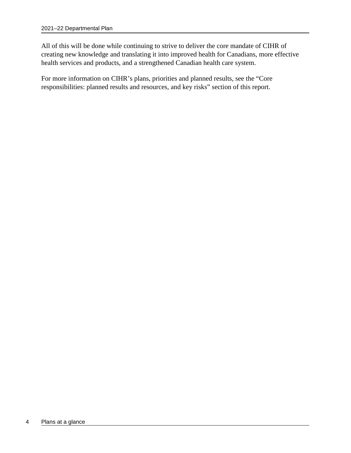All of this will be done while continuing to strive to deliver the core mandate of CIHR of creating new knowledge and translating it into improved health for Canadians, more effective health services and products, and a strengthened Canadian health care system.

For more information on CIHR's plans, priorities and planned results, see the "Core responsibilities: planned results and resources, and key risks" section of this report.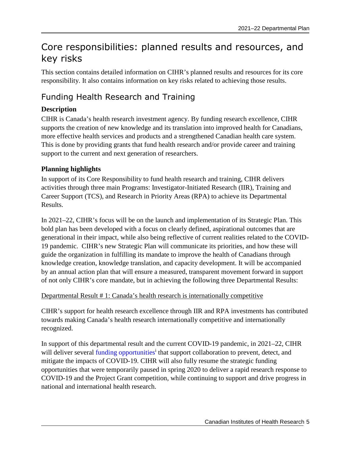# <span id="page-8-0"></span>Core responsibilities: planned results and resources, and key risks

This section contains detailed information on CIHR's planned results and resources for its core responsibility. It also contains information on key risks related to achieving those results.

# <span id="page-8-1"></span>Funding Health Research and Training

## **Description**

CIHR is Canada's health research investment agency. By funding research excellence, CIHR supports the creation of new knowledge and its translation into improved health for Canadians, more effective health services and products and a strengthened Canadian health care system. This is done by providing grants that fund health research and/or provide career and training support to the current and next generation of researchers.

## **Planning highlights**

In support of its Core Responsibility to fund health research and training, CIHR delivers activities through three main Programs: Investigator-Initiated Research (IIR), Training and Career Support (TCS), and Research in Priority Areas (RPA) to achieve its Departmental Results.

In 2021–22, CIHR's focus will be on the launch and implementation of its Strategic Plan. This bold plan has been developed with a focus on clearly defined, aspirational outcomes that are generational in their impact, while also being reflective of current realities related to the COVID-19 pandemic. CIHR's new Strategic Plan will communicate its priorities, and how these will guide the organization in fulfilling its mandate to improve the health of Canadians through knowledge creation, knowledge translation, and capacity development. It will be accompanied by an annual action plan that will ensure a measured, transparent movement forward in support of not only CIHR's core mandate, but in achieving the following three Departmental Results:

### Departmental Result # 1: Canada's health research is internationally competitive

CIHR's support for health research excellence through IIR and RPA investments has contributed towards making Canada's health research internationally competitive and internationally recognized.

In support of this departmental result and the current COVID-19 pandemic, in 2021–22, CIHR will deliver several [funding opportunities](https://cihr-irsc.gc.ca/e/52000.html)<sup>i</sup>that support collaboration to prevent, detect, and mitigate the impacts of COVID-19. CIHR will also fully resume the strategic funding opportunities that were temporarily paused in spring 2020 to deliver a rapid research response to COVID-19 and the Project Grant competition, while continuing to support and drive progress in national and international health research.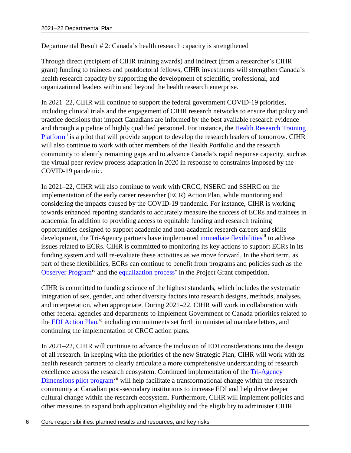### Departmental Result # 2: Canada's health research capacity is strengthened

Through direct (recipient of CIHR training awards) and indirect (from a researcher's CIHR grant) funding to trainees and postdoctoral fellows, CIHR investments will strengthen Canada's health research capacity by supporting the development of scientific, professional, and organizational leaders within and beyond the health research enterprise.

In 2021–22, CIHR will continue to support the federal government COVID-19 priorities, including clinical trials and the engagement of CIHR research networks to ensure that policy and practice decisions that impact Canadians are informed by the best available research evidence and through a pipeline of highly qualified personnel. For instance, the [Health Research Training](https://cihr-irsc.gc.ca/e/51797.html)  [Platform](https://cihr-irsc.gc.ca/e/51797.html)<sup>[ii](#page-34-2)</sup> is a pilot that will provide support to develop the research leaders of tomorrow. CIHR will also continue to work with other members of the Health Portfolio and the research community to identify remaining gaps and to advance Canada's rapid response capacity, such as the virtual peer review process adaptation in 2020 in response to constraints imposed by the COVID-19 pandemic.

In 2021–22, CIHR will also continue to work with CRCC, NSERC and SSHRC on the implementation of the early career researcher (ECR) Action Plan, while monitoring and considering the impacts caused by the COVID-19 pandemic. For instance, CIHR is working towards enhanced reporting standards to accurately measure the success of ECRs and trainees in academia. In addition to providing access to equitable funding and research training opportunities designed to support academic and non-academic research careers and skills development, the Tri-Agency partners have implemented [immediate flexibilities](https://cihr-irsc.gc.ca/e/52132.html)<sup>[iii](#page-34-3)</sup> to address issues related to ECRs. CIHR is committed to monitoring its key actions to support ECRs in its funding system and will re-evaluate these activities as we move forward. In the short term, as part of these flexibilities, ECRs can continue to benefit from programs and policies such as the [Observer Program](https://cihr-irsc.gc.ca/e/52119.html)<sup>[iv](#page-34-4)</sup> and the [equalization process](https://www.researchnet-recherchenet.ca/rnr16/viewOpportunityDetails.do?progCd=11077&language=E&org=CIHR#description1)<sup>[v](#page-34-5)</sup> in the Project Grant competition.

CIHR is committed to funding science of the highest standards, which includes the systematic integration of sex, gender, and other diversity factors into research designs, methods, analyses, and interpretation, when appropriate. During 2021–22, CIHR will work in collaboration with other federal agencies and departments to implement Government of Canada priorities related to the [EDI Action Plan,](https://cihr-irsc.gc.ca/e/51693.html)<sup>[vi](#page-34-6)</sup> including commitments set forth in ministerial mandate letters, and continuing the implementation of CRCC action plans.

In 2021–22, CIHR will continue to advance the inclusion of EDI considerations into the design of all research. In keeping with the priorities of the new Strategic Plan, CIHR will work with its health research partners to clearly articulate a more comprehensive understanding of research excellence across the research ecosystem. Continued implementation of the [Tri-Agency](https://www.nserc-crsng.gc.ca/NSERC-CRSNG/EDI-EDI/Dimensions-Program_Programme-Dimensions_eng.asp)  [Dimensions pilot program](https://www.nserc-crsng.gc.ca/NSERC-CRSNG/EDI-EDI/Dimensions-Program_Programme-Dimensions_eng.asp)<sup>[vii](#page-34-7)</sup> will help facilitate a transformational change within the research community at Canadian post-secondary institutions to increase EDI and help drive deeper cultural change within the research ecosystem. Furthermore, CIHR will implement policies and other measures to expand both application eligibility and the eligibility to administer CIHR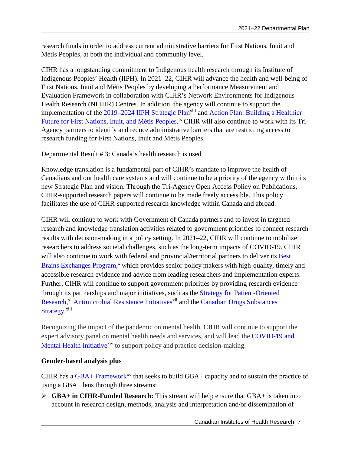research funds in order to address current administrative barriers for First Nations, Inuit and Métis Peoples, at both the individual and community level.

CIHR has a longstanding commitment to Indigenous health research through its Institute of Indigenous Peoples' Health (IIPH). In 2021–22, CIHR will advance the health and well-being of First Nations, Inuit and Métis Peoples by developing a Performance Measurement and Evaluation Framework in collaboration with CIHR's Network Environments for Indigenous Health Research (NEIHR) Centres. In addition, the agency will continue to support the implementation of the [2019–2024 IIPH Strategic Plan](https://cihr-irsc.gc.ca/e/51559.html)<sup>[viii](#page-34-8)</sup> and [Action Plan: Building a Healthier](https://cihr-irsc.gc.ca/e/50372.html) [Future for First Nations, Inuit, and Métis Peoples](https://cihr-irsc.gc.ca/e/50372.html).<sup>[ix](#page-34-9)</sup> CIHR will also continue to work with its Tri-Agency partners to identify and reduce administrative barriers that are restricting access to research funding for First Nations, Inuit and Métis Peoples.

#### Departmental Result # 3: Canada's health research is used

Knowledge translation is a fundamental part of CIHR's mandate to improve the health of Canadians and our health care systems and will continue to be a priority of the agency within its new Strategic Plan and vision. Through the Tri-Agency Open Access Policy on Publications, CIHR-supported research papers will continue to be made freely accessible. This policy facilitates the use of CIHR-supported research knowledge within Canada and abroad.

CIHR will continue to work with Government of Canada partners and to invest in targeted research and knowledge translation activities related to government priorities to connect research results with decision-making in a policy setting. In 2021–22, CIHR will continue to mobilize researchers to address societal challenges, such as the long-term impacts of COVID-19. CIHR will also continue to work with federal and provincial/territorial partners to deliver its [Best](https://cihr-irsc.gc.ca/e/43978.html) [Brains Exchanges Program](https://cihr-irsc.gc.ca/e/43978.html),<sup>[x](#page-34-10)</sup> which provides senior policy makers with high-quality, timely and accessible research evidence and advice from leading researchers and implementation experts. Further, CIHR will continue to support government priorities by providing research evidence through its partnerships and major initiatives, such as the [Strategy for Patient-Oriented](https://cihr-irsc.gc.ca/e/41204.html)  [Research](https://cihr-irsc.gc.ca/e/41204.html),<sup>[xi](#page-34-11)</sup> [Antimicrobial Resistance Initiatives](https://cihr-irsc.gc.ca/e/40484.html)<sup>[xii](#page-34-12)</sup> and the [Canadian Drugs](https://cihr-irsc.gc.ca/e/50928.html) Substances [Strategy.](https://cihr-irsc.gc.ca/e/50928.html)<sup>[xiii](#page-34-13)</sup>

Recognizing the impact of the pandemic on mental health, CIHR will continue to support the expert advisory panel on mental health needs and services, and will lead the [COVID-19 and](https://cihr-irsc.gc.ca/e/52001.html)  [Mental Health Initiative](https://cihr-irsc.gc.ca/e/52001.html)<sup>[xiv](#page-34-14)</sup> to support policy and practice decision-making.

#### **Gender-based analysis plus**

CIHR has a  $GBA+$  Framework<sup>[xv](#page-34-15)</sup> that seeks to build  $GBA+$  capacity and to sustain the practice of using a GBA+ lens through three streams:

 **GBA+ in CIHR-Funded Research:** This stream will help ensure that GBA+ is taken into account in research design, methods, analysis and interpretation and/or dissemination of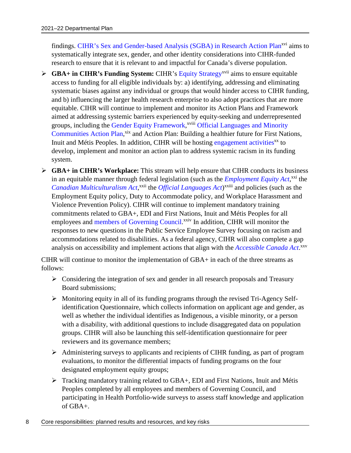findings. [CIHR's Sex and Gender-based Analysis \(SGBA\) in Research Action Plan](https://cihr-irsc.gc.ca/e/50837.html)<sup>[xvi](#page-34-16)</sup> aims to systematically integrate sex, gender, and other identity considerations into CIHR-funded research to ensure that it is relevant to and impactful for Canada's diverse population.

- **► GBA+ in CIHR's Funding System:** CIHR's [Equity Strategy](https://cihr-irsc.gc.ca/e/51693.html)<sup>[xvii](#page-34-17)</sup> aims to ensure equitable access to funding for all eligible individuals by: a) identifying, addressing and eliminating systematic biases against any individual or groups that would hinder access to CIHR funding, and b) influencing the larger health research enterprise to also adopt practices that are more equitable. CIHR will continue to implement and monitor its Action Plans and Framework aimed at addressing systemic barriers experienced by equity-seeking and underrepresented groups, including the [Gender Equity Framework](https://cihr-irsc.gc.ca/e/50238.html),<sup>[xviii](#page-34-18)</sup> [Official Languages and Minority](https://cihr-irsc.gc.ca/e/47951.html) [Communities Action Plan](https://cihr-irsc.gc.ca/e/47951.html),<sup>[xix](#page-34-19)</sup> and Action Plan: Building a healthier future for First Nations, Inuit and Métis Peoples. In addition, CIHR will be hosting [engagement activities](https://cihr-irsc.gc.ca/e/52174.html)<sup>[xx](#page-34-20)</sup> to develop, implement and monitor an action plan to address systemic racism in its funding system.
- **GBA+ in CIHR's Workplace:** This stream will help ensure that CIHR conducts its business in an equitable manner through federal legislation (such as the *[Employment Equity Act](https://laws-lois.justice.gc.ca/eng/acts/E-5.401/index.html)*,<sup>[xxi](#page-34-21)</sup> the *[Canadian Multiculturalism Act](https://laws-lois.justice.gc.ca/eng/acts/C-18.7/index.html)*,<sup>[xxii](#page-34-22)</sup> the *[Official Languages Act](https://laws-lois.justice.gc.ca/eng/acts/O-3.01/index.html)*)<sup>[xxiii](#page-34-23)</sup> and policies (such as the Employment Equity policy, Duty to Accommodate policy, and Workplace Harassment and Violence Prevention Policy). CIHR will continue to implement mandatory training commitments related to GBA+, EDI and First Nations, Inuit and Métis Peoples for all employees and [members of Governing Council.](https://cihr-irsc.gc.ca/e/6953.html)<sup>[xxiv](#page-34-24)</sup> In addition, CIHR will monitor the responses to new questions in the Public Service Employee Survey focusing on racism and accommodations related to disabilities. As a federal agency, CIHR will also complete a gap analysis on accessibility and implement actions that align with the *[Accessible Canada Act](https://laws-lois.justice.gc.ca/eng/acts/A-0.6/)*. [xxv](#page-34-25)

CIHR will continue to monitor the implementation of GBA+ in each of the three streams as follows:

- $\triangleright$  Considering the integration of sex and gender in all research proposals and Treasury Board submissions;
- $\triangleright$  Monitoring equity in all of its funding programs through the revised Tri-Agency Selfidentification Questionnaire, which collects information on applicant age and gender, as well as whether the individual identifies as Indigenous, a visible minority, or a person with a disability, with additional questions to include disaggregated data on population groups. CIHR will also be launching this self-identification questionnaire for peer reviewers and its governance members;
- $\triangleright$  Administering surveys to applicants and recipients of CIHR funding, as part of program evaluations, to monitor the differential impacts of funding programs on the four designated employment equity groups;
- Tracking mandatory training related to GBA+, EDI and First Nations, Inuit and Métis Peoples completed by all employees and members of Governing Council, and participating in Health Portfolio-wide surveys to assess staff knowledge and application of GBA+.
- 8 Core responsibilities: planned results and resources, and key risks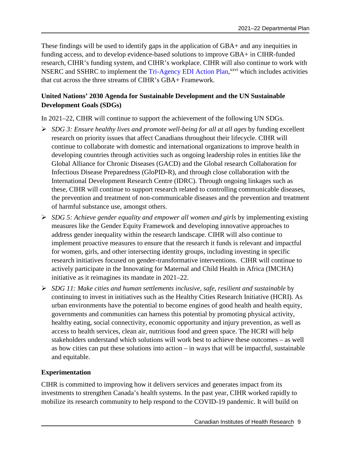These findings will be used to identify gaps in the application of GBA+ and any inequities in funding access, and to develop evidence-based solutions to improve GBA+ in CIHR-funded research, CIHR's funding system, and CIHR's workplace. CIHR will also continue to work with NSERC and SSHRC to implement the [Tri-Agency EDI Action Plan](https://www.nserc-crsng.gc.ca/NSERC-CRSNG/EDI-EDI/Action-Plan_Plan-dAction_eng.asp),<sup>[xxvi](#page-34-26)</sup> which includes activities that cut across the three streams of CIHR's GBA+ Framework.

## **United Nations' 2030 Agenda for Sustainable Development and the UN Sustainable Development Goals (SDGs)**

In 2021–22, CIHR will continue to support the achievement of the following UN SDGs.

- *SDG 3: Ensure healthy lives and promote well-being for all at all ages* by funding excellent research on priority issues that affect Canadians throughout their lifecycle. CIHR will continue to collaborate with domestic and international organizations to improve health in developing countries through activities such as ongoing leadership roles in entities like the Global Alliance for Chronic Diseases (GACD) and the Global research Collaboration for Infectious Disease Preparedness (GloPID-R), and through close collaboration with the International Development Research Centre (IDRC). Through ongoing linkages such as these, CIHR will continue to support research related to controlling communicable diseases, the prevention and treatment of non-communicable diseases and the prevention and treatment of harmful substance use, amongst others.
- *SDG 5: Achieve gender equality and empower all women and girls* by implementing existing measures like the Gender Equity Framework and developing innovative approaches to address gender inequality within the research landscape. CIHR will also continue to implement proactive measures to ensure that the research it funds is relevant and impactful for women, girls, and other intersecting identity groups, including investing in specific research initiatives focused on gender-transformative interventions. CIHR will continue to actively participate in the Innovating for Maternal and Child Health in Africa (IMCHA) initiative as it reimagines its mandate in 2021–22.
- *SDG 11: Make cities and human settlements inclusive, safe, resilient and sustainable* by continuing to invest in initiatives such as the Healthy Cities Research Initiative (HCRI). As urban environments have the potential to become engines of good health and health equity, governments and communities can harness this potential by promoting physical activity, healthy eating, social connectivity, economic opportunity and injury prevention, as well as access to health services, clean air, nutritious food and green space. The HCRI will help stakeholders understand which solutions will work best to achieve these outcomes – as well as how cities can put these solutions into action – in ways that will be impactful, sustainable and equitable.

### **Experimentation**

CIHR is committed to improving how it delivers services and generates impact from its investments to strengthen Canada's health systems. In the past year, CIHR worked rapidly to mobilize its research community to help respond to the COVID-19 pandemic. It will build on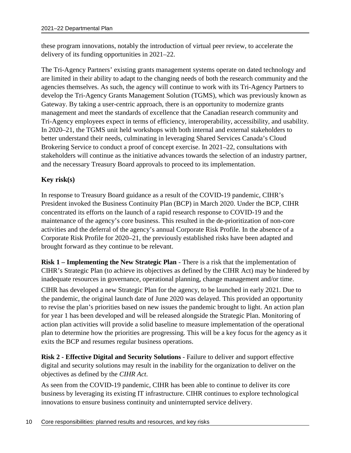these program innovations, notably the introduction of virtual peer review, to accelerate the delivery of its funding opportunities in 2021–22.

The Tri-Agency Partners' existing grants management systems operate on dated technology and are limited in their ability to adapt to the changing needs of both the research community and the agencies themselves. As such, the agency will continue to work with its Tri-Agency Partners to develop the Tri-Agency Grants Management Solution (TGMS), which was previously known as Gateway. By taking a user-centric approach, there is an opportunity to modernize grants management and meet the standards of excellence that the Canadian research community and Tri-Agency employees expect in terms of efficiency, interoperability, accessibility, and usability. In 2020–21, the TGMS unit held workshops with both internal and external stakeholders to better understand their needs, culminating in leveraging Shared Services Canada's Cloud Brokering Service to conduct a proof of concept exercise. In 2021–22, consultations with stakeholders will continue as the initiative advances towards the selection of an industry partner, and the necessary Treasury Board approvals to proceed to its implementation.

### **Key risk(s)**

In response to Treasury Board guidance as a result of the COVID-19 pandemic, CIHR's President invoked the Business Continuity Plan (BCP) in March 2020. Under the BCP, CIHR concentrated its efforts on the launch of a rapid research response to COVID-19 and the maintenance of the agency's core business. This resulted in the de-prioritization of non-core activities and the deferral of the agency's annual Corporate Risk Profile. In the absence of a Corporate Risk Profile for 2020–21, the previously established risks have been adapted and brought forward as they continue to be relevant.

**Risk 1 – Implementing the New Strategic Plan** - There is a risk that the implementation of CIHR's Strategic Plan (to achieve its objectives as defined by the CIHR Act) may be hindered by inadequate resources in governance, operational planning, change management and/or time.

CIHR has developed a new Strategic Plan for the agency, to be launched in early 2021. Due to the pandemic, the original launch date of June 2020 was delayed. This provided an opportunity to revise the plan's priorities based on new issues the pandemic brought to light. An action plan for year 1 has been developed and will be released alongside the Strategic Plan. Monitoring of action plan activities will provide a solid baseline to measure implementation of the operational plan to determine how the priorities are progressing. This will be a key focus for the agency as it exits the BCP and resumes regular business operations.

**Risk 2 - Effective Digital and Security Solutions** - Failure to deliver and support effective digital and security solutions may result in the inability for the organization to deliver on the objectives as defined by the *CIHR Act*.

As seen from the COVID-19 pandemic, CIHR has been able to continue to deliver its core business by leveraging its existing IT infrastructure. CIHR continues to explore technological innovations to ensure business continuity and uninterrupted service delivery.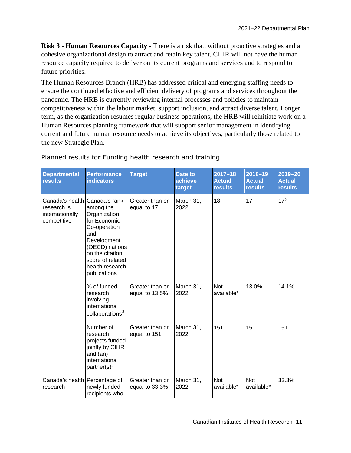**Risk 3 - Human Resources Capacity** - There is a risk that, without proactive strategies and a cohesive organizational design to attract and retain key talent, CIHR will not have the human resource capacity required to deliver on its current programs and services and to respond to future priorities.

The Human Resources Branch (HRB) has addressed critical and emerging staffing needs to ensure the continued effective and efficient delivery of programs and services throughout the pandemic. The HRB is currently reviewing internal processes and policies to maintain competitiveness within the labour market, support inclusion, and attract diverse talent. Longer term, as the organization resumes regular business operations, the HRB will reinitiate work on a Human Resources planning framework that will support senior management in identifying current and future human resource needs to achieve its objectives, particularly those related to the new Strategic Plan.

| <b>Departmental</b><br><b>results</b>                            | <b>Performance</b><br><b>indicators</b>                                                                                                                                                                   | <b>Target</b>                     | <b>Date to</b><br>achieve<br>target | $2017 - 18$<br><b>Actual</b><br><b>results</b> | $2018 - 19$<br><b>Actual</b><br><b>results</b> | $2019 - 20$<br><b>Actual</b><br><b>results</b> |
|------------------------------------------------------------------|-----------------------------------------------------------------------------------------------------------------------------------------------------------------------------------------------------------|-----------------------------------|-------------------------------------|------------------------------------------------|------------------------------------------------|------------------------------------------------|
| Canada's health<br>research is<br>internationally<br>competitive | Canada's rank<br>among the<br>Organization<br>for Economic<br>Co-operation<br>and<br>Development<br>(OECD) nations<br>on the citation<br>score of related<br>health research<br>publications <sup>1</sup> | Greater than or<br>equal to 17    | March 31,<br>2022                   | 18                                             | 17                                             | 17 <sup>2</sup>                                |
|                                                                  | % of funded<br>research<br>involving<br>international<br>collaborations <sup>3</sup>                                                                                                                      | Greater than or<br>equal to 13.5% | March 31,<br>2022                   | <b>Not</b><br>available*                       | 13.0%                                          | 14.1%                                          |
|                                                                  | Number of<br>research<br>projects funded<br>jointly by CIHR<br>and (an)<br>international<br>partner(s) <sup>4</sup>                                                                                       | Greater than or<br>equal to 151   | March 31,<br>2022                   | 151                                            | 151                                            | 151                                            |
| Canada's health<br>research                                      | Percentage of<br>newly funded<br>recipients who                                                                                                                                                           | Greater than or<br>equal to 33.3% | March 31,<br>2022                   | <b>Not</b><br>available*                       | <b>Not</b><br>available*                       | 33.3%                                          |

### Planned results for Funding health research and training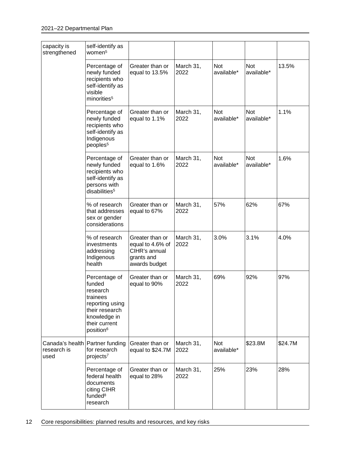| capacity is<br>strengthened                            | self-identify as<br>women <sup>5</sup>                                                                                                         |                                                                                     |                   |                          |                          |         |
|--------------------------------------------------------|------------------------------------------------------------------------------------------------------------------------------------------------|-------------------------------------------------------------------------------------|-------------------|--------------------------|--------------------------|---------|
|                                                        | Percentage of<br>newly funded<br>recipients who<br>self-identify as<br>visible<br>minorities <sup>5</sup>                                      | Greater than or<br>equal to 13.5%                                                   | March 31,<br>2022 | <b>Not</b><br>available* | Not<br>available*        | 13.5%   |
|                                                        | Percentage of<br>newly funded<br>recipients who<br>self-identify as<br>Indigenous<br>peoples <sup>5</sup>                                      | Greater than or<br>equal to 1.1%                                                    | March 31,<br>2022 | <b>Not</b><br>available* | Not<br>available*        | 1.1%    |
|                                                        | Percentage of<br>newly funded<br>recipients who<br>self-identify as<br>persons with<br>disabilities <sup>5</sup>                               | Greater than or<br>equal to 1.6%                                                    | March 31,<br>2022 | <b>Not</b><br>available* | <b>Not</b><br>available* | 1.6%    |
|                                                        | % of research<br>that addresses<br>sex or gender<br>considerations                                                                             | Greater than or<br>equal to 67%                                                     | March 31,<br>2022 | 57%                      | 62%                      | 67%     |
|                                                        | % of research<br>investments<br>addressing<br>Indigenous<br>health                                                                             | Greater than or<br>equal to 4.6% of<br>CIHR's annual<br>grants and<br>awards budget | March 31,<br>2022 | 3.0%                     | 3.1%                     | 4.0%    |
|                                                        | Percentage of<br>funded<br>research<br>trainees<br>reporting using<br>their research<br>knowledge in<br>their current<br>position <sup>6</sup> | Greater than or<br>equal to 90%                                                     | March 31,<br>2022 | 69%                      | 92%                      | 97%     |
| Canada's health Partner funding<br>research is<br>used | for research<br>projects <sup>7</sup>                                                                                                          | Greater than or<br>equal to \$24.7M                                                 | March 31,<br>2022 | <b>Not</b><br>available* | \$23.8M                  | \$24.7M |
|                                                        | Percentage of<br>federal health<br>documents<br>citing CIHR<br>funded <sup>8</sup><br>research                                                 | Greater than or<br>equal to 28%                                                     | March 31,<br>2022 | 25%                      | 23%                      | 28%     |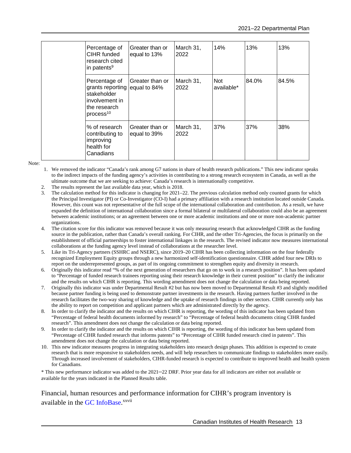| Percentage of<br>CIHR funded<br>research cited<br>in patents <sup>9</sup>                                   | Greater than or<br>equal to 13% | March 31,<br>2022 | 14%                      | 13%   | 13%   |
|-------------------------------------------------------------------------------------------------------------|---------------------------------|-------------------|--------------------------|-------|-------|
| Percentage of<br>grants reporting<br>stakeholder<br>involvement in<br>the research<br>process <sup>10</sup> | Greater than or<br>equal to 84% | March 31,<br>2022 | <b>Not</b><br>available* | 84.0% | 84.5% |
| % of research<br>contributing to<br>improving<br>health for<br>Canadians                                    | Greater than or<br>equal to 39% | March 31,<br>2022 | 37%                      | 37%   | 38%   |

Note:

- 1. We removed the indicator "Canada's rank among G7 nations in share of health research publications." This new indicator speaks to the indirect impacts of the funding agency's activities in contributing to a strong research ecosystem in Canada, as well as the ultimate outcome that we are seeking to achieve: Canada's research is internationally competitive.
- The results represent the last available data year, which is 2018.
- 3. The calculation method for this indicator is changing for 2021–22. The previous calculation method only counted grants for which the Principal Investigator (PI) or Co-Investigator (CO-I) had a primary affiliation with a research institution located outside Canada. However, this count was not representative of the full scope of the international collaboration and contribution. As a result, we have expanded the definition of international collaboration since a formal bilateral or multilateral collaboration could also be an agreement between academic institutions; or an agreement between one or more academic institutions and one or more non-academic partner organizations.
- 4. The citation score for this indicator was removed because it was only measuring research that acknowledged CIHR as the funding source in the publication, rather than Canada's overall ranking. For CIHR, and the other Tri-Agencies, the focus is primarily on the establishment of official partnerships to foster international linkages in the research. The revised indicator now measures international collaborations at the funding agency level instead of collaborations at the researcher level.
- 5. Like its Tri-Agency partners (SSHRC and NSERC), since 2019–20 CIHR has been collecting information on the four federally recognized Employment Equity groups through a new harmonized self-identification questionnaire. CIHR added four new DRIs to report on the underrepresented groups, as part of its ongoing commitment to strengthen equity and diversity in research.
- 6. Originally this indicator read "% of the next generation of researchers that go on to work in a research position". It has been updated to "Percentage of funded research trainees reporting using their research knowledge in their current position" to clarify the indicator and the results on which CIHR is reporting. This wording amendment does not change the calculation or data being reported.
- 7. Originally this indicator was under Departmental Result #2 but has now been moved to Departmental Result #3 and slightly modified because partner funding is being used to demonstrate partner investments in the research. Having partners further involved in the research facilitates the two-way sharing of knowledge and the uptake of research findings in other sectors. CIHR currently only has the ability to report on competition and applicant partners which are administrated directly by the agency.
- 8. In order to clarify the indicator and the results on which CIHR is reporting, the wording of this indicator has been updated from "Percentage of federal health documents informed by research" to "Percentage of federal health documents citing CIHR funded research". This amendment does not change the calculation or data being reported.
- 9. In order to clarify the indicator and the results on which CIHR is reporting, the wording of this indicator has been updated from "Percentage of CIHR funded research that informs patents" to "Percentage of CIHR funded research cited in patents". This amendment does not change the calculation or data being reported.
- 10. This new indicator measures progress in integrating stakeholders into research design phases. This addition is expected to create research that is more responsive to stakeholders needs, and will help researchers to communicate findings to stakeholders more easily. Through increased involvement of stakeholders, CIHR-funded research is expected to contribute to improved health and health system for Canadians.

\* This new performance indicator was added to the 2021–22 DRF. Prior year data for all indicators are either not available or available for the years indicated in the Planned Results table.

Financial, human resources and performance information for CIHR's program inventory is available in the GC [InfoBase](https://www.tbs-sct.gc.ca/ems-sgd/edb-bdd/index-eng.html).<sup>[xxvii](#page-34-27)</sup>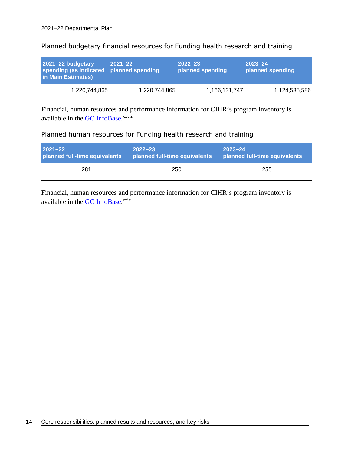| 2021-22 budgetary<br>spending (as indicated planned spending<br>in Main Estimates) | $ 2021 - 22 $ | $2022 - 23$<br>planned spending | $2023 - 24$<br>planned spending |
|------------------------------------------------------------------------------------|---------------|---------------------------------|---------------------------------|
| 1,220,744,865                                                                      | 1,220,744,865 | 1,166,131,747                   | 1,124,535,586                   |

Planned budgetary financial resources for Funding health research and training

Financial, human resources and performance information for CIHR's program inventory is available in the GC [InfoBase.](https://www.tbs-sct.gc.ca/ems-sgd/edb-bdd/index-eng.html)<sup>[xxviii](#page-34-28)</sup>

#### Planned human resources for Funding health research and training

| <b>2021-22</b>                | $2022 - 23$                   | $ 2023 - 24 $                 |
|-------------------------------|-------------------------------|-------------------------------|
| planned full-time equivalents | planned full-time equivalents | planned full-time equivalents |
| 281                           | 250                           | 255                           |

Financial, human resources and performance information for CIHR's program inventory is available in the GC [InfoBase](https://www.tbs-sct.gc.ca/ems-sgd/edb-bdd/index-eng.html).<sup>[xxix](#page-34-29)</sup>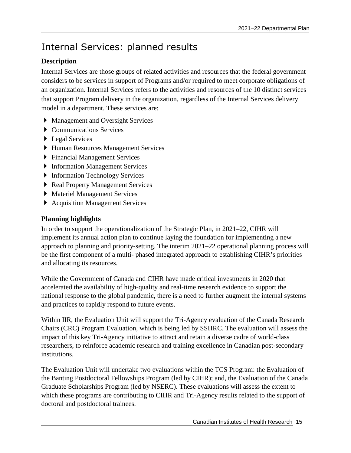# <span id="page-18-0"></span>Internal Services: planned results

## **Description**

Internal Services are those groups of related activities and resources that the federal government considers to be services in support of Programs and/or required to meet corporate obligations of an organization. Internal Services refers to the activities and resources of the 10 distinct services that support Program delivery in the organization, regardless of the Internal Services delivery model in a department. These services are:

- Management and Oversight Services
- ▶ Communications Services
- ▶ Legal Services
- Human Resources Management Services
- Financial Management Services
- **Information Management Services**
- **Information Technology Services**
- Real Property Management Services
- Materiel Management Services
- ▶ Acquisition Management Services

## **Planning highlights**

In order to support the operationalization of the Strategic Plan, in 2021–22, CIHR will implement its annual action plan to continue laying the foundation for implementing a new approach to planning and priority-setting. The interim 2021–22 operational planning process will be the first component of a multi- phased integrated approach to establishing CIHR's priorities and allocating its resources.

While the Government of Canada and CIHR have made critical investments in 2020 that accelerated the availability of high-quality and real-time research evidence to support the national response to the global pandemic, there is a need to further augment the internal systems and practices to rapidly respond to future events.

Within IIR, the Evaluation Unit will support the Tri-Agency evaluation of the Canada Research Chairs (CRC) Program Evaluation, which is being led by SSHRC. The evaluation will assess the impact of this key Tri-Agency initiative to attract and retain a diverse cadre of world-class researchers, to reinforce academic research and training excellence in Canadian post-secondary institutions.

The Evaluation Unit will undertake two evaluations within the TCS Program: the Evaluation of the Banting Postdoctoral Fellowships Program (led by CIHR); and, the Evaluation of the Canada Graduate Scholarships Program (led by NSERC). These evaluations will assess the extent to which these programs are contributing to CIHR and Tri-Agency results related to the support of doctoral and postdoctoral trainees.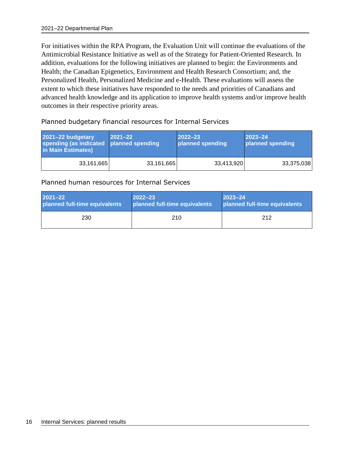For initiatives within the RPA Program, the Evaluation Unit will continue the evaluations of the Antimicrobial Resistance Initiative as well as of the Strategy for Patient-Oriented Research. In addition, evaluations for the following initiatives are planned to begin: the Environments and Health; the Canadian Epigenetics, Environment and Health Research Consortium; and, the Personalized Health, Personalized Medicine and e-Health. These evaluations will assess the extent to which these initiatives have responded to the needs and priorities of Canadians and advanced health knowledge and its application to improve health systems and/or improve health outcomes in their respective priority areas.

| 2021-22 budgetary<br>spending (as indicated<br>in Main Estimates) | $ 2021 - 22 $<br>planned spending | $ 2022 - 23 $<br>planned spending | $2023 - 24$<br>planned spending |
|-------------------------------------------------------------------|-----------------------------------|-----------------------------------|---------------------------------|
| 33,161,665                                                        | 33,161,665                        | 33,413,920                        | 33,375,038                      |

#### Planned budgetary financial resources for Internal Services

#### Planned human resources for Internal Services

| $2021 - 22$                   | $2022 - 23$                   | $ 2023 - 24$                  |
|-------------------------------|-------------------------------|-------------------------------|
| planned full-time equivalents | planned full-time equivalents | planned full-time equivalents |
| 230                           | 210                           | 212                           |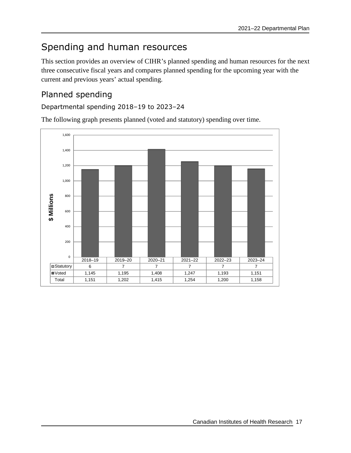# <span id="page-20-0"></span>Spending and human resources

This section provides an overview of CIHR's planned spending and human resources for the next three consecutive fiscal years and compares planned spending for the upcoming year with the current and previous years' actual spending.

# <span id="page-20-1"></span>Planned spending

## Departmental spending 2018–19 to 2023–24

The following graph presents planned (voted and statutory) spending over time.

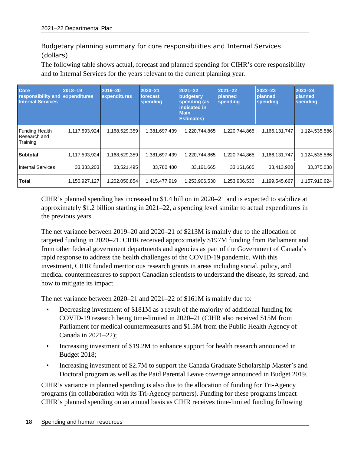## Budgetary planning summary for core responsibilities and Internal Services (dollars)

The following table shows actual, forecast and planned spending for CIHR's core responsibility and to Internal Services for the years relevant to the current planning year.

| <b>Core</b><br>responsibility and<br><b>Internal Services</b> | 2018-19<br>expenditures | 2019-20<br>expenditures | $2020 - 21$<br>forecast<br>spending | $2021 - 22$<br>budgetary<br>spending (as<br>indicated in<br><b>Main</b><br><b>Estimates)</b> | $2021 - 22$<br>planned<br>spending | $2022 - 23$<br><b>planned</b><br>spending | $2023 - 24$<br>planned<br>spending |
|---------------------------------------------------------------|-------------------------|-------------------------|-------------------------------------|----------------------------------------------------------------------------------------------|------------------------------------|-------------------------------------------|------------------------------------|
| <b>Funding Health</b><br>Research and<br>Training             | 1,117,593,924           | 1,168,529,359           | 1,381,697,439                       | 1,220,744,865                                                                                | 1,220,744,865                      | 1,166,131,747                             | 1,124,535,586                      |
| Subtotal                                                      | 1,117,593,924           | 1,168,529,359           | 1,381,697,439                       | 1,220,744,865                                                                                | 1,220,744,865                      | 1,166,131,747                             | 1,124,535,586                      |
| Internal Services                                             | 33,333,203              | 33,521,495              | 33,780,480                          | 33,161,665                                                                                   | 33,161,665                         | 33,413,920                                | 33,375,038                         |
| <b>Total</b>                                                  | 1,150,927,127           | 1,202,050,854           | 1,415,477,919                       | 1,253,906,530                                                                                | 1,253,906,530                      | 1,199,545,667                             | 1,157,910,624                      |

CIHR's planned spending has increased to \$1.4 billion in 2020–21 and is expected to stabilize at approximately \$1.2 billion starting in 2021–22, a spending level similar to actual expenditures in the previous years.

The net variance between 2019–20 and 2020–21 of \$213M is mainly due to the allocation of targeted funding in 2020–21. CIHR received approximately \$197M funding from Parliament and from other federal government departments and agencies as part of the Government of Canada's rapid response to address the health challenges of the COVID-19 pandemic. With this investment, CIHR funded meritorious research grants in areas including social, policy, and medical countermeasures to support Canadian scientists to understand the disease, its spread, and how to mitigate its impact.

The net variance between 2020–21 and 2021–22 of \$161M is mainly due to:

- Decreasing investment of \$181M as a result of the majority of additional funding for COVID-19 research being time-limited in 2020–21 (CIHR also received \$15M from Parliament for medical countermeasures and \$1.5M from the Public Health Agency of Canada in 2021–22);
- Increasing investment of \$19.2M to enhance support for health research announced in Budget 2018;
- Increasing investment of \$2.7M to support the Canada Graduate Scholarship Master's and Doctoral program as well as the Paid Parental Leave coverage announced in Budget 2019.

CIHR's variance in planned spending is also due to the allocation of funding for Tri-Agency programs (in collaboration with its Tri-Agency partners). Funding for these programs impact CIHR's planned spending on an annual basis as CIHR receives time-limited funding following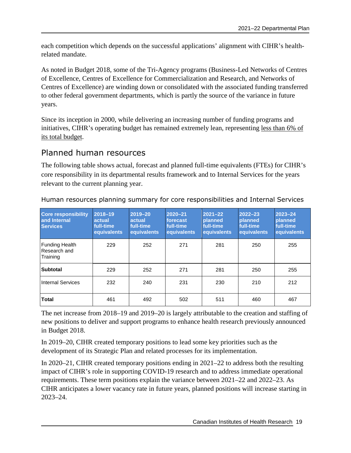each competition which depends on the successful applications' alignment with CIHR's healthrelated mandate.

As noted in Budget 2018, some of the Tri-Agency programs (Business-Led Networks of Centres of Excellence, Centres of Excellence for Commercialization and Research, and Networks of Centres of Excellence) are winding down or consolidated with the associated funding transferred to other federal government departments, which is partly the source of the variance in future years.

Since its inception in 2000, while delivering an increasing number of funding programs and initiatives, CIHR's operating budget has remained extremely lean, representing less than 6% of its total budget.

## <span id="page-22-0"></span>Planned human resources

The following table shows actual, forecast and planned full-time equivalents (FTEs) for CIHR's core responsibility in its departmental results framework and to Internal Services for the years relevant to the current planning year.

| <b>Core responsibility</b><br>and Internal<br><b>Services</b> | 2018-19<br>actual<br>full-time.<br>equivalents | 2019-20<br>actual<br>full-time.<br>equivalents | $2020 - 21$<br>forecast<br>full-time<br>equivalents | $2021 - 22$<br><b>planned</b><br>full-time<br>equivalents | $2022 - 23$<br><b>planned</b><br>full-time<br>equivalents | $2023 - 24$<br><b>planned</b><br>full-time<br>equivalents |
|---------------------------------------------------------------|------------------------------------------------|------------------------------------------------|-----------------------------------------------------|-----------------------------------------------------------|-----------------------------------------------------------|-----------------------------------------------------------|
| <b>Funding Health</b><br>Research and<br>Training             | 229                                            | 252                                            | 271                                                 | 281                                                       | 250                                                       | 255                                                       |
| <b>Subtotal</b>                                               | 229                                            | 252                                            | 271                                                 | 281                                                       | 250                                                       | 255                                                       |
| <b>Internal Services</b>                                      | 232                                            | 240                                            | 231                                                 | 230                                                       | 210                                                       | 212                                                       |
| Total                                                         | 461                                            | 492                                            | 502                                                 | 511                                                       | 460                                                       | 467                                                       |

Human resources planning summary for core responsibilities and Internal Services

The net increase from 2018–19 and 2019–20 is largely attributable to the creation and staffing of new positions to deliver and support programs to enhance health research previously announced in Budget 2018.

In 2019–20, CIHR created temporary positions to lead some key priorities such as the development of its Strategic Plan and related processes for its implementation.

In 2020–21, CIHR created temporary positions ending in 2021–22 to address both the resulting impact of CIHR's role in supporting COVID-19 research and to address immediate operational requirements. These term positions explain the variance between 2021–22 and 2022–23. As CIHR anticipates a lower vacancy rate in future years, planned positions will increase starting in 2023–24.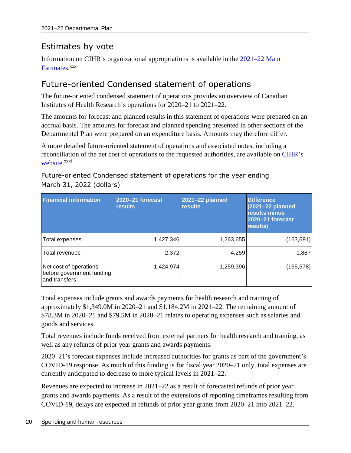# <span id="page-23-0"></span>Estimates by vote

Information on CIHR's organizational appropriations is available in the [2021–22 Main](http://www.tbs-sct.gc.ca/hgw-cgf/finances/pgs-pdg/gepme-pdgbpd/index-eng.asp) [Estimates.](http://www.tbs-sct.gc.ca/hgw-cgf/finances/pgs-pdg/gepme-pdgbpd/index-eng.asp)<sup>[xxx](#page-34-30)</sup>

# <span id="page-23-1"></span>Future-oriented Condensed statement of operations

The future-oriented condensed statement of operations provides an overview of Canadian Institutes of Health Research's operations for 2020–21 to 2021–22.

The amounts for forecast and planned results in this statement of operations were prepared on an accrual basis. The amounts for forecast and planned spending presented in other sections of the Departmental Plan were prepared on an expenditure basis. Amounts may therefore differ.

A more detailed future-oriented statement of operations and associated notes, including a reconciliation of the net cost of operations to the requested authorities, are available on [CIHR's](https://cihr-irsc.gc.ca/e/52294.html)  [website](https://cihr-irsc.gc.ca/e/52294.html).<sup>[xxxi](#page-34-31)</sup>

## Future-oriented Condensed statement of operations for the year ending March 31, 2022 (dollars)

| <b>Financial information</b>                                         | 2020-21 forecast<br><b>results</b> | 2021-22 planned<br><b>results</b> | <b>Difference</b><br>(2021-22 planned<br>results minus<br>2020-21 forecast<br>results) |
|----------------------------------------------------------------------|------------------------------------|-----------------------------------|----------------------------------------------------------------------------------------|
| Total expenses                                                       | 1,427,346                          | 1,263,655                         | (163, 691)                                                                             |
| <b>Total revenues</b>                                                | 2,372                              | 4,259                             | 1,887                                                                                  |
| Net cost of operations<br>before government funding<br>and transfers | 1,424,974                          | 1,259,396                         | (165, 578)                                                                             |

Total expenses include grants and awards payments for health research and training of approximately \$1,349.0M in 2020–21 and \$1,184.2M in 2021–22. The remaining amount of \$78.3M in 2020–21 and \$79.5M in 2020–21 relates to operating expenses such as salaries and goods and services.

Total revenues include funds received from external partners for health research and training, as well as any refunds of prior year grants and awards payments.

2020–21's forecast expenses include increased authorities for grants as part of the government's COVID-19 response. As much of this funding is for fiscal year 2020–21 only, total expenses are currently anticipated to decrease to more typical levels in 2021–22.

Revenues are expected to increase in 2021–22 as a result of forecasted refunds of prior year grants and awards payments. As a result of the extensions of reporting timeframes resulting from COVID-19, delays are expected in refunds of prior year grants from 2020–21 into 2021–22.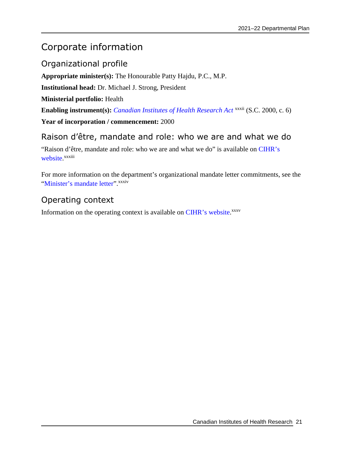# <span id="page-24-0"></span>Corporate information

<span id="page-24-1"></span>Organizational profile

**Appropriate minister(s):** The Honourable Patty Hajdu, P.C., M.P.

**Institutional head:** Dr. Michael J. Strong, President

**Ministerial portfolio:** Health

Enabling instrument(s): *[Canadian Institutes of Health Research Act](http://laws-lois.justice.gc.ca/eng/acts/C-18.1/FullText.html)* <sup>[xxxii](#page-34-32)</sup> (S.C. 2000, c. 6)

**Year of incorporation / commencement:** 2000

# <span id="page-24-2"></span>Raison d'être, mandate and role: who we are and what we do

"Raison d'être, mandate and role: who we are and what we do" is available on [CIHR's](https://cihr-irsc.gc.ca/e/52273.html) [website.](https://cihr-irsc.gc.ca/e/52273.html)<sup>[xxxiii](#page-34-33)</sup>

For more information on the department's organizational mandate letter commitments, see the ["Minister's mandate letter"](https://pm.gc.ca/en/mandate-letters/2019/12/13/minister-health-mandate-letter). [xxxiv](#page-34-34)

# <span id="page-24-3"></span>Operating context

<span id="page-24-4"></span>Information on the operating context is available on [CIHR's website.](https://cihr-irsc.gc.ca/e/52286.html)<sup>[xxxv](#page-34-35)</sup>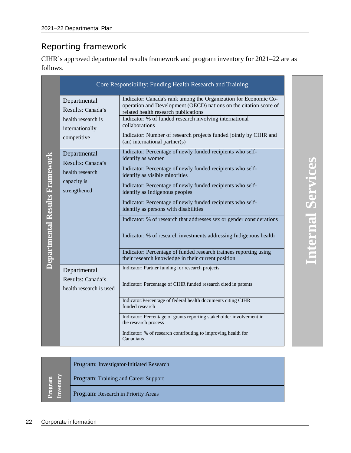# Reporting framework

CIHR's approved departmental results framework and program inventory for 2021–22 are as follows.

|                                                                            | Core Responsibility: Funding Health Research and Training                                                                                                                                                                                                  |
|----------------------------------------------------------------------------|------------------------------------------------------------------------------------------------------------------------------------------------------------------------------------------------------------------------------------------------------------|
| Departmental<br>Results: Canada's<br>health research is<br>internationally | Indicator: Canada's rank among the Organization for Economic Co-<br>operation and Development (OECD) nations on the citation score of<br>related health research publications<br>Indicator: % of funded research involving international<br>collaborations |
| competitive                                                                | Indicator: Number of research projects funded jointly by CIHR and<br>(an) international partner(s)                                                                                                                                                         |
| Departmental<br>Departmental Results Framework<br>Results: Canada's        | Indicator: Percentage of newly funded recipients who self-<br>identify as women                                                                                                                                                                            |
| health research                                                            | Indicator: Percentage of newly funded recipients who self-<br>identify as visible minorities                                                                                                                                                               |
| capacity is<br>strengthened                                                | Indicator: Percentage of newly funded recipients who self-<br>identify as Indigenous peoples                                                                                                                                                               |
|                                                                            | Indicator: Percentage of newly funded recipients who self-<br>identify as persons with disabilities                                                                                                                                                        |
|                                                                            | Indicator: % of research that addresses sex or gender considerations                                                                                                                                                                                       |
|                                                                            | Indicator: % of research investments addressing Indigenous health                                                                                                                                                                                          |
|                                                                            | Indicator: Percentage of funded research trainees reporting using<br>their research knowledge in their current position                                                                                                                                    |
| Departmental                                                               | Indicator: Partner funding for research projects                                                                                                                                                                                                           |
| Results: Canada's<br>health research is used                               | Indicator: Percentage of CIHR funded research cited in patents                                                                                                                                                                                             |
|                                                                            | Indicator: Percentage of federal health documents citing CIHR<br>funded research                                                                                                                                                                           |
|                                                                            | Indicator: Percentage of grants reporting stakeholder involvement in<br>the research process                                                                                                                                                               |
|                                                                            | Indicator: % of research contributing to improving health for<br>Canadians                                                                                                                                                                                 |

| Program<br>Inventory | Program: Investigator-Initiated Research |
|----------------------|------------------------------------------|
|                      | Program: Training and Career Support     |
|                      | Program: Research in Priority Areas      |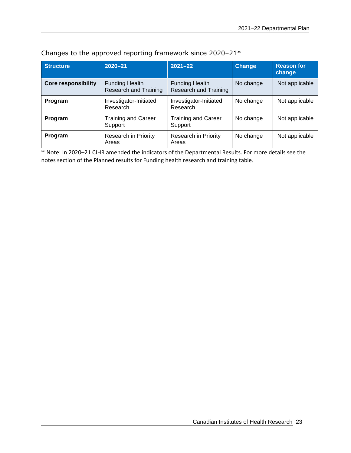| <b>Structure</b>           | $2020 - 21$                                           | $2021 - 22$                                           | <b>Change</b> | <b>Reason for</b><br>change |
|----------------------------|-------------------------------------------------------|-------------------------------------------------------|---------------|-----------------------------|
| <b>Core responsibility</b> | <b>Funding Health</b><br><b>Research and Training</b> | <b>Funding Health</b><br><b>Research and Training</b> | No change     | Not applicable              |
| Program                    | Investigator-Initiated<br>Research                    | Investigator-Initiated<br>Research                    | No change     | Not applicable              |
| Program                    | <b>Training and Career</b><br>Support                 | <b>Training and Career</b><br>Support                 | No change     | Not applicable              |
| Program                    | <b>Research in Priority</b><br>Areas                  | Research in Priority<br>Areas                         | No change     | Not applicable              |

Changes to the approved reporting framework since 2020–21\*

\* Note: In 2020–21 CIHR amended the indicators of the Departmental Results. For more details see the notes section of the Planned results for Funding health research and training table.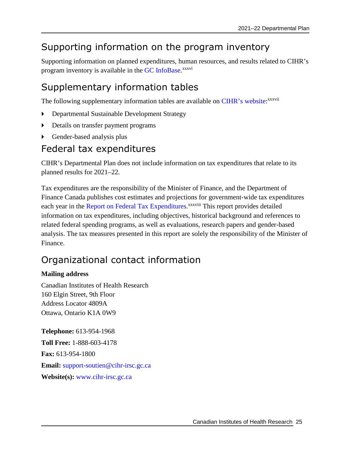# <span id="page-28-0"></span>Supporting information on the program inventory

Supporting information on planned expenditures, human resources, and results related to CIHR's program inventory is available in the [GC InfoBase](https://www.tbs-sct.gc.ca/ems-sgd/edb-bdd/index-eng.html).<sup>[xxxvi](#page-34-36)</sup>

# <span id="page-28-1"></span>Supplementary information tables

The following supplementary information tables are available on [CIHR's website:](https://cihr-irsc.gc.ca/e/52271.html) [xxxvii](#page-34-37)

- Departmental Sustainable Development Strategy
- <span id="page-28-2"></span>Details on transfer payment programs
- Gender-based analysis plus

# Federal tax expenditures

CIHR's Departmental Plan does not include information on tax expenditures that relate to its planned results for 2021–22.

Tax expenditures are the responsibility of the Minister of Finance, and the Department of Finance Canada publishes cost estimates and projections for government-wide tax expenditures each year in the [Report on Federal Tax Expenditures](https://www.canada.ca/en/department-finance/services/publications/federal-tax-expenditures.html).<sup>[xxxviii](#page-34-38)</sup> This report provides detailed information on tax expenditures, including objectives, historical background and references to related federal spending programs, as well as evaluations, research papers and gender-based analysis. The tax measures presented in this report are solely the responsibility of the Minister of Finance.

# <span id="page-28-3"></span>Organizational contact information

### **Mailing address**

Canadian Institutes of Health Research 160 Elgin Street, 9th Floor Address Locator 4809A Ottawa, Ontario K1A 0W9

**Telephone:** 613-954-1968 **Toll Free:** 1-888-603-4178 **Fax:** 613-954-1800 **Email:** [support-soutien@cihr-irsc.gc.ca](mailto:support-soutien@cihr-irsc.gc.ca) **Website(s):** [www.cihr-irsc.gc.ca](http://www.cihr-irsc.gc.ca/)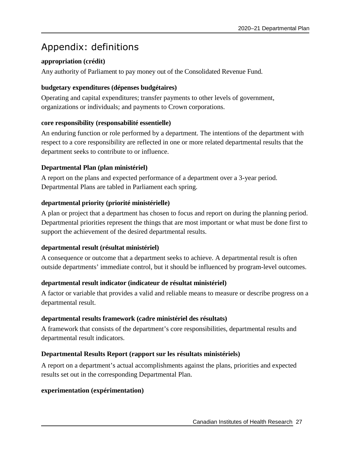# <span id="page-30-0"></span>Appendix: definitions

## **appropriation (crédit)**

Any authority of Parliament to pay money out of the Consolidated Revenue Fund.

### **budgetary expenditures (dépenses budgétaires)**

Operating and capital expenditures; transfer payments to other levels of government, organizations or individuals; and payments to Crown corporations.

### **core responsibility (responsabilité essentielle)**

An enduring function or role performed by a department. The intentions of the department with respect to a core responsibility are reflected in one or more related departmental results that the department seeks to contribute to or influence.

### **Departmental Plan (plan ministériel)**

A report on the plans and expected performance of a department over a 3-year period. Departmental Plans are tabled in Parliament each spring.

### **departmental priority (priorité ministérielle)**

A plan or project that a department has chosen to focus and report on during the planning period. Departmental priorities represent the things that are most important or what must be done first to support the achievement of the desired departmental results.

### **departmental result (résultat ministériel)**

A consequence or outcome that a department seeks to achieve. A departmental result is often outside departments' immediate control, but it should be influenced by program-level outcomes.

### **departmental result indicator (indicateur de résultat ministériel)**

A factor or variable that provides a valid and reliable means to measure or describe progress on a departmental result.

### **departmental results framework (cadre ministériel des résultats)**

A framework that consists of the department's core responsibilities, departmental results and departmental result indicators.

### **Departmental Results Report (rapport sur les résultats ministériels)**

A report on a department's actual accomplishments against the plans, priorities and expected results set out in the corresponding Departmental Plan.

### **experimentation (expérimentation)**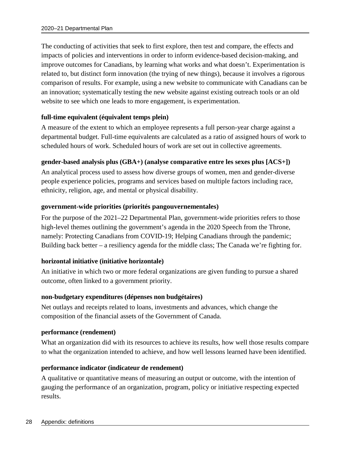The conducting of activities that seek to first explore, then test and compare, the effects and impacts of policies and interventions in order to inform evidence-based decision-making, and improve outcomes for Canadians, by learning what works and what doesn't. Experimentation is related to, but distinct form innovation (the trying of new things), because it involves a rigorous comparison of results. For example, using a new website to communicate with Canadians can be an innovation; systematically testing the new website against existing outreach tools or an old website to see which one leads to more engagement, is experimentation.

### **full-time equivalent (équivalent temps plein)**

A measure of the extent to which an employee represents a full person-year charge against a departmental budget. Full-time equivalents are calculated as a ratio of assigned hours of work to scheduled hours of work. Scheduled hours of work are set out in collective agreements.

### **gender-based analysis plus (GBA+) (analyse comparative entre les sexes plus [ACS+])**

An analytical process used to assess how diverse groups of women, men and gender-diverse people experience policies, programs and services based on multiple factors including race, ethnicity, religion, age, and mental or physical disability.

#### **government-wide priorities (priorités pangouvernementales)**

For the purpose of the 2021–22 Departmental Plan, government-wide priorities refers to those high-level themes outlining the government's agenda in the 2020 Speech from the Throne, namely: Protecting Canadians from COVID-19; Helping Canadians through the pandemic; Building back better – a resiliency agenda for the middle class; The Canada we're fighting for.

### **horizontal initiative (initiative horizontale)**

An initiative in which two or more federal organizations are given funding to pursue a shared outcome, often linked to a government priority.

#### **non-budgetary expenditures (dépenses non budgétaires)**

Net outlays and receipts related to loans, investments and advances, which change the composition of the financial assets of the Government of Canada.

#### **performance (rendement)**

What an organization did with its resources to achieve its results, how well those results compare to what the organization intended to achieve, and how well lessons learned have been identified.

### **performance indicator (indicateur de rendement)**

A qualitative or quantitative means of measuring an output or outcome, with the intention of gauging the performance of an organization, program, policy or initiative respecting expected results.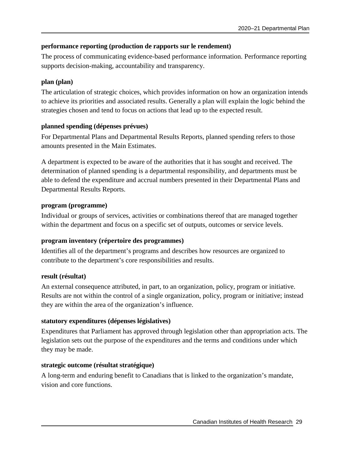### **performance reporting (production de rapports sur le rendement)**

The process of communicating evidence-based performance information. Performance reporting supports decision-making, accountability and transparency.

### **plan (plan)**

The articulation of strategic choices, which provides information on how an organization intends to achieve its priorities and associated results. Generally a plan will explain the logic behind the strategies chosen and tend to focus on actions that lead up to the expected result.

### **planned spending (dépenses prévues)**

For Departmental Plans and Departmental Results Reports, planned spending refers to those amounts presented in the Main Estimates.

A department is expected to be aware of the authorities that it has sought and received. The determination of planned spending is a departmental responsibility, and departments must be able to defend the expenditure and accrual numbers presented in their Departmental Plans and Departmental Results Reports.

### **program (programme)**

Individual or groups of services, activities or combinations thereof that are managed together within the department and focus on a specific set of outputs, outcomes or service levels.

### **program inventory (répertoire des programmes)**

Identifies all of the department's programs and describes how resources are organized to contribute to the department's core responsibilities and results.

### **result (résultat)**

An external consequence attributed, in part, to an organization, policy, program or initiative. Results are not within the control of a single organization, policy, program or initiative; instead they are within the area of the organization's influence.

### **statutory expenditures (dépenses législatives)**

Expenditures that Parliament has approved through legislation other than appropriation acts. The legislation sets out the purpose of the expenditures and the terms and conditions under which they may be made.

### **strategic outcome (résultat stratégique)**

A long-term and enduring benefit to Canadians that is linked to the organization's mandate, vision and core functions.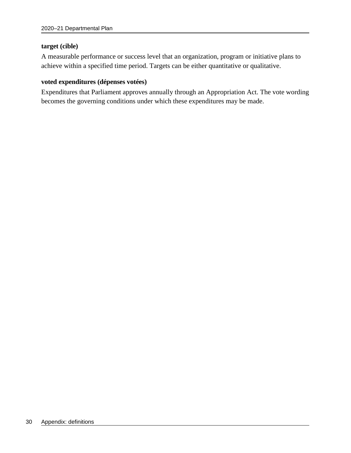#### **target (cible)**

A measurable performance or success level that an organization, program or initiative plans to achieve within a specified time period. Targets can be either quantitative or qualitative.

#### **voted expenditures (dépenses votées)**

Expenditures that Parliament approves annually through an Appropriation Act. The vote wording becomes the governing conditions under which these expenditures may be made.